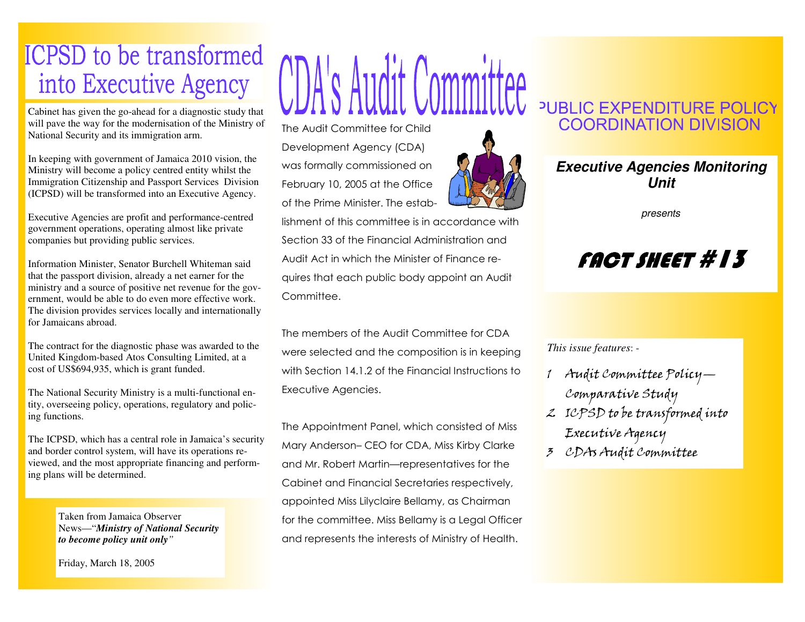## **ICPSD** to be transformed into Executive Agency

Cabinet has given the go-ahead for a diagnostic study that will pave the way for the modernisation of the Ministry of National Security and its immigration arm.

In keeping with government of Jamaica 2010 vision, the Ministry will become a policy centred entity whilst the Immigration Citizenship and Passport Services Division (ICPSD) will be transformed into an Executive Agency.

Executive Agencies are profit and performance-centred government operations, operating almost like private companies but providing public services.

Information Minister, Senator Burchell Whiteman said that the passport division, already a net earner for the ministry and a source of positive net revenue for the government, would be able to do even more effective work. The division provides services locally and internationally for Jamaicans abroad.

The contract for the diagnostic phase was awarded to the United Kingdom-based Atos Consulting Limited, at a cost of US\$694,935, which is grant funded.

The National Security Ministry is a multi-functional entity, overseeing policy, operations, regulatory and policing functions.

The ICPSD, which has a central role in Jamaica's security and border control system, will have its operations reviewed, and the most appropriate financing and performing plans will be determined.

> Taken from Jamaica Observer News—"*Ministry of National Security to become policy unit only"*

Friday, March 18, 2005

## CDA's Audit Committee

The Audit Committee for Child Development Agency (CDA) was formally commissioned on February 10, 2005 at the Office of the Prime Minister. The estab-



lishment of this committee is in accordance with Section 33 of the Financial Administration and Audit Act in which the Minister of Finance requires that each public body appoint an Audit Committee.

The members of the Audit Committee for CDA were selected and the composition is in keeping with Section 14.1.2 of the Financial Instructions to Executive Agencies.

The Appointment Panel, which consisted of Miss Mary Anderson– CEO for CDA, Miss Kirby Clarke and Mr. Robert Martin—representatives for the Cabinet and Financial Secretaries respectively, appointed Miss Lilyclaire Bellamy, as Chairman for the committee. Miss Bellamy is a Legal Officer and represents the interests of Ministry of Health.

## PUBLIC EXPENDITURE POLICY **COORDINATION DIVISION**



presents

## FACT SHEET #13

*This issue features*: -

- <sup>1</sup> Audit Committee Policy—Comparative Study
- <sup>2</sup> ICPSD to be transformed into Executive Agency
- <sup>3</sup> CDAs Audit Committee